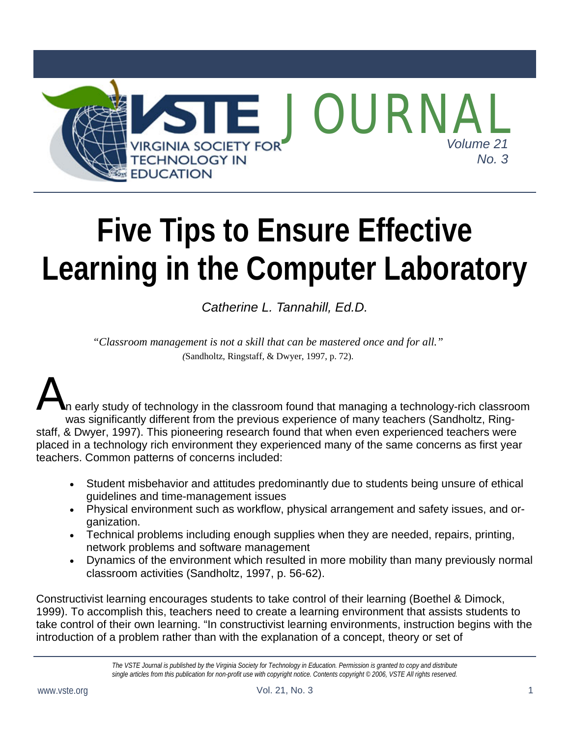

# **Five Tips to Ensure Effective Learning in the Computer Laboratory**

*Catherine L. Tannahill, Ed.D.* 

*"Classroom management is not a skill that can be mastered once and for all." (*Sandholtz, Ringstaff, & Dwyer, 1997, p. 72).

A n early study of technology in the classroom found that managing a technology-rich classroom was significantly different from the previous experience of many teachers (Sandholtz, Ringstaff, & Dwyer, 1997). This pioneering research found that when even experienced teachers were placed in a technology rich environment they experienced many of the same concerns as first year teachers. Common patterns of concerns included:

- Student misbehavior and attitudes predominantly due to students being unsure of ethical guidelines and time-management issues
- Physical environment such as workflow, physical arrangement and safety issues, and organization.
- Technical problems including enough supplies when they are needed, repairs, printing, network problems and software management
- Dynamics of the environment which resulted in more mobility than many previously normal classroom activities (Sandholtz, 1997, p. 56-62).

Constructivist learning encourages students to take control of their learning (Boethel & Dimock, 1999). To accomplish this, teachers need to create a learning environment that assists students to take control of their own learning. "In constructivist learning environments, instruction begins with the introduction of a problem rather than with the explanation of a concept, theory or set of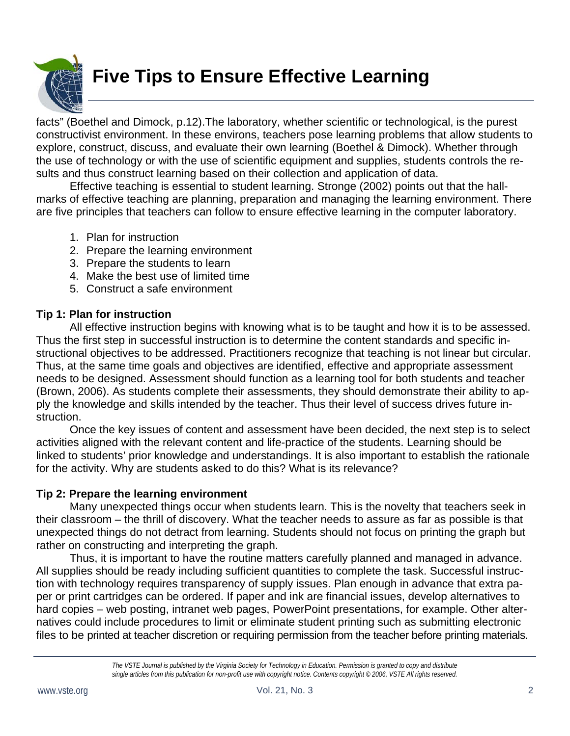

facts" (Boethel and Dimock, p.12).The laboratory, whether scientific or technological, is the purest constructivist environment. In these environs, teachers pose learning problems that allow students to explore, construct, discuss, and evaluate their own learning (Boethel & Dimock). Whether through the use of technology or with the use of scientific equipment and supplies, students controls the results and thus construct learning based on their collection and application of data.

 Effective teaching is essential to student learning. Stronge (2002) points out that the hallmarks of effective teaching are planning, preparation and managing the learning environment. There are five principles that teachers can follow to ensure effective learning in the computer laboratory.

- 1. Plan for instruction
- 2. Prepare the learning environment
- 3. Prepare the students to learn
- 4. Make the best use of limited time
- 5. Construct a safe environment

#### **Tip 1: Plan for instruction**

 All effective instruction begins with knowing what is to be taught and how it is to be assessed. Thus the first step in successful instruction is to determine the content standards and specific instructional objectives to be addressed. Practitioners recognize that teaching is not linear but circular. Thus, at the same time goals and objectives are identified, effective and appropriate assessment needs to be designed. Assessment should function as a learning tool for both students and teacher (Brown, 2006). As students complete their assessments, they should demonstrate their ability to apply the knowledge and skills intended by the teacher. Thus their level of success drives future instruction.

 Once the key issues of content and assessment have been decided, the next step is to select activities aligned with the relevant content and life-practice of the students. Learning should be linked to students' prior knowledge and understandings. It is also important to establish the rationale for the activity. Why are students asked to do this? What is its relevance?

#### **Tip 2: Prepare the learning environment**

Many unexpected things occur when students learn. This is the novelty that teachers seek in their classroom – the thrill of discovery. What the teacher needs to assure as far as possible is that unexpected things do not detract from learning. Students should not focus on printing the graph but rather on constructing and interpreting the graph.

 Thus, it is important to have the routine matters carefully planned and managed in advance. All supplies should be ready including sufficient quantities to complete the task. Successful instruction with technology requires transparency of supply issues. Plan enough in advance that extra paper or print cartridges can be ordered. If paper and ink are financial issues, develop alternatives to hard copies – web posting, intranet web pages, PowerPoint presentations, for example. Other alternatives could include procedures to limit or eliminate student printing such as submitting electronic files to be printed at teacher discretion or requiring permission from the teacher before printing materials.

*The VSTE Journal is published by the Virginia Society for Technology in Education. Permission is granted to copy and distribute single articles from this publication for non-profit use with copyright notice. Contents copyright © 2006, VSTE All rights reserved.*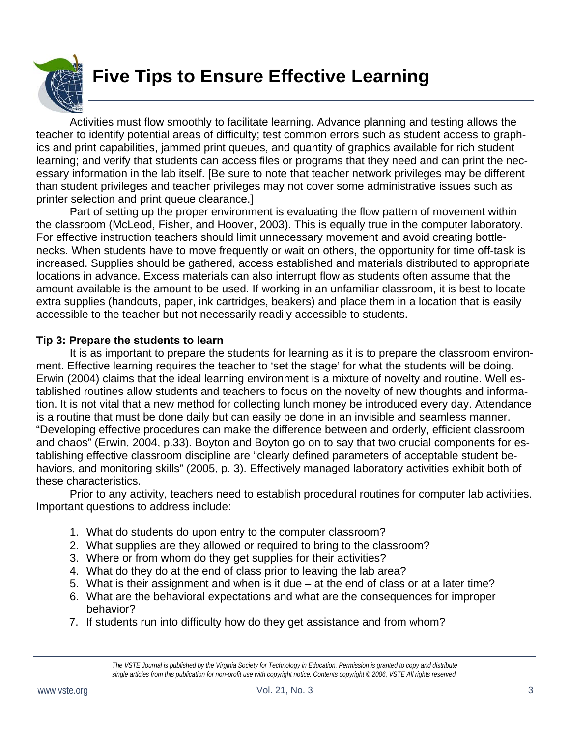

 Activities must flow smoothly to facilitate learning. Advance planning and testing allows the teacher to identify potential areas of difficulty; test common errors such as student access to graphics and print capabilities, jammed print queues, and quantity of graphics available for rich student learning; and verify that students can access files or programs that they need and can print the necessary information in the lab itself. [Be sure to note that teacher network privileges may be different than student privileges and teacher privileges may not cover some administrative issues such as printer selection and print queue clearance.]

 Part of setting up the proper environment is evaluating the flow pattern of movement within the classroom (McLeod, Fisher, and Hoover, 2003). This is equally true in the computer laboratory. For effective instruction teachers should limit unnecessary movement and avoid creating bottlenecks. When students have to move frequently or wait on others, the opportunity for time off-task is increased. Supplies should be gathered, access established and materials distributed to appropriate locations in advance. Excess materials can also interrupt flow as students often assume that the amount available is the amount to be used. If working in an unfamiliar classroom, it is best to locate extra supplies (handouts, paper, ink cartridges, beakers) and place them in a location that is easily accessible to the teacher but not necessarily readily accessible to students.

#### **Tip 3: Prepare the students to learn**

It is as important to prepare the students for learning as it is to prepare the classroom environment. Effective learning requires the teacher to 'set the stage' for what the students will be doing. Erwin (2004) claims that the ideal learning environment is a mixture of novelty and routine. Well established routines allow students and teachers to focus on the novelty of new thoughts and information. It is not vital that a new method for collecting lunch money be introduced every day. Attendance is a routine that must be done daily but can easily be done in an invisible and seamless manner. "Developing effective procedures can make the difference between and orderly, efficient classroom and chaos" (Erwin, 2004, p.33). Boyton and Boyton go on to say that two crucial components for establishing effective classroom discipline are "clearly defined parameters of acceptable student behaviors, and monitoring skills" (2005, p. 3). Effectively managed laboratory activities exhibit both of these characteristics.

 Prior to any activity, teachers need to establish procedural routines for computer lab activities. Important questions to address include:

- 1. What do students do upon entry to the computer classroom?
- 2. What supplies are they allowed or required to bring to the classroom?
- 3. Where or from whom do they get supplies for their activities?
- 4. What do they do at the end of class prior to leaving the lab area?
- 5. What is their assignment and when is it due at the end of class or at a later time?
- 6. What are the behavioral expectations and what are the consequences for improper behavior?
- 7. If students run into difficulty how do they get assistance and from whom?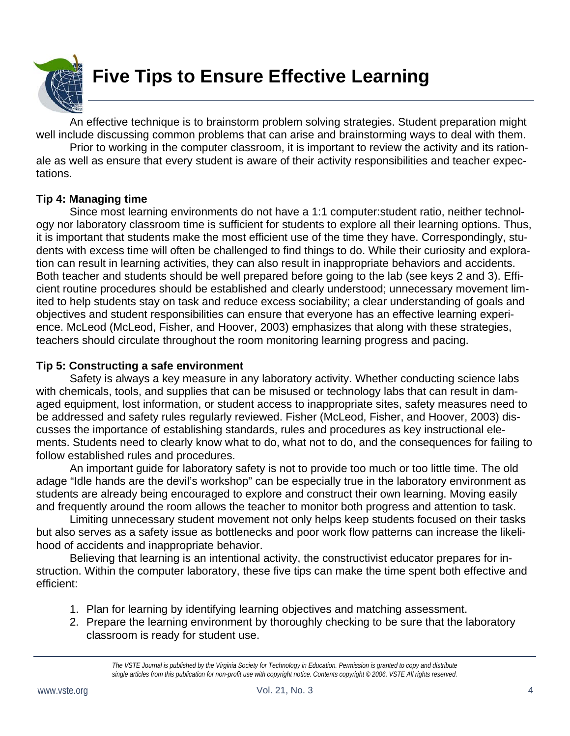

 An effective technique is to brainstorm problem solving strategies. Student preparation might well include discussing common problems that can arise and brainstorming ways to deal with them.

 Prior to working in the computer classroom, it is important to review the activity and its rationale as well as ensure that every student is aware of their activity responsibilities and teacher expectations.

#### **Tip 4: Managing time**

Since most learning environments do not have a 1:1 computer:student ratio, neither technology nor laboratory classroom time is sufficient for students to explore all their learning options. Thus, it is important that students make the most efficient use of the time they have. Correspondingly, students with excess time will often be challenged to find things to do. While their curiosity and exploration can result in learning activities, they can also result in inappropriate behaviors and accidents. Both teacher and students should be well prepared before going to the lab (see keys 2 and 3). Efficient routine procedures should be established and clearly understood; unnecessary movement limited to help students stay on task and reduce excess sociability; a clear understanding of goals and objectives and student responsibilities can ensure that everyone has an effective learning experience. McLeod (McLeod, Fisher, and Hoover, 2003) emphasizes that along with these strategies, teachers should circulate throughout the room monitoring learning progress and pacing.

#### **Tip 5: Constructing a safe environment**

Safety is always a key measure in any laboratory activity. Whether conducting science labs with chemicals, tools, and supplies that can be misused or technology labs that can result in damaged equipment, lost information, or student access to inappropriate sites, safety measures need to be addressed and safety rules regularly reviewed. Fisher (McLeod, Fisher, and Hoover, 2003) discusses the importance of establishing standards, rules and procedures as key instructional elements. Students need to clearly know what to do, what not to do, and the consequences for failing to follow established rules and procedures.

 An important guide for laboratory safety is not to provide too much or too little time. The old adage "Idle hands are the devil's workshop" can be especially true in the laboratory environment as students are already being encouraged to explore and construct their own learning. Moving easily and frequently around the room allows the teacher to monitor both progress and attention to task.

 Limiting unnecessary student movement not only helps keep students focused on their tasks but also serves as a safety issue as bottlenecks and poor work flow patterns can increase the likelihood of accidents and inappropriate behavior.

 Believing that learning is an intentional activity, the constructivist educator prepares for instruction. Within the computer laboratory, these five tips can make the time spent both effective and efficient:

- 1. Plan for learning by identifying learning objectives and matching assessment.
- 2. Prepare the learning environment by thoroughly checking to be sure that the laboratory classroom is ready for student use.

*The VSTE Journal is published by the Virginia Society for Technology in Education. Permission is granted to copy and distribute single articles from this publication for non-profit use with copyright notice. Contents copyright © 2006, VSTE All rights reserved.*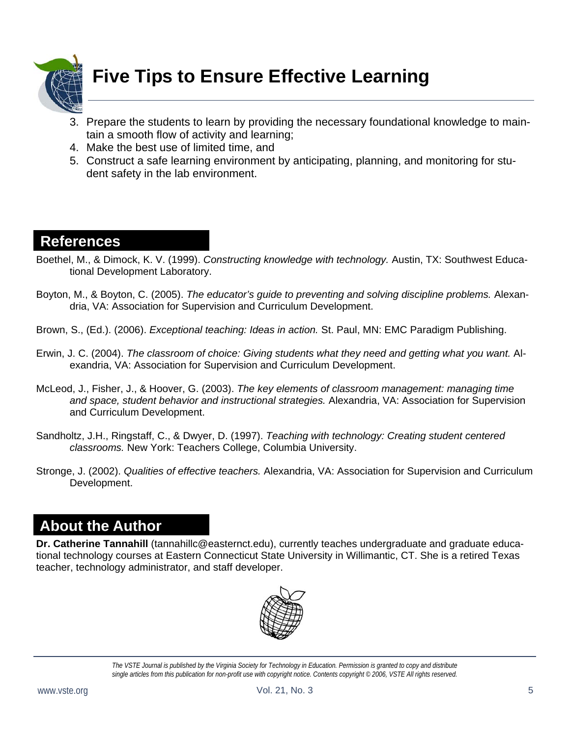

- 3. Prepare the students to learn by providing the necessary foundational knowledge to maintain a smooth flow of activity and learning;
- 4. Make the best use of limited time, and
- 5. Construct a safe learning environment by anticipating, planning, and monitoring for student safety in the lab environment.

### **References**

- Boethel, M., & Dimock, K. V. (1999). *Constructing knowledge with technology.* Austin, TX: Southwest Educational Development Laboratory.
- Boyton, M., & Boyton, C. (2005). *The educator's guide to preventing and solving discipline problems.* Alexandria, VA: Association for Supervision and Curriculum Development.
- Brown, S., (Ed.). (2006). *Exceptional teaching: Ideas in action.* St. Paul, MN: EMC Paradigm Publishing.
- Erwin, J. C. (2004). *The classroom of choice: Giving students what they need and getting what you want.* Alexandria, VA: Association for Supervision and Curriculum Development.
- McLeod, J., Fisher, J., & Hoover, G. (2003). *The key elements of classroom management: managing time and space, student behavior and instructional strategies.* Alexandria, VA: Association for Supervision and Curriculum Development.
- Sandholtz, J.H., Ringstaff, C., & Dwyer, D. (1997). *Teaching with technology: Creating student centered classrooms.* New York: Teachers College, Columbia University.
- Stronge, J. (2002). *Qualities of effective teachers.* Alexandria, VA: Association for Supervision and Curriculum Development.

## **About the Author**

**Dr. Catherine Tannahill** (tannahillc@easternct.edu), currently teaches undergraduate and graduate educational technology courses at Eastern Connecticut State University in Willimantic, CT. She is a retired Texas teacher, technology administrator, and staff developer.



*The VSTE Journal is published by the Virginia Society for Technology in Education. Permission is granted to copy and distribute single articles from this publication for non-profit use with copyright notice. Contents copyright © 2006, VSTE All rights reserved.*